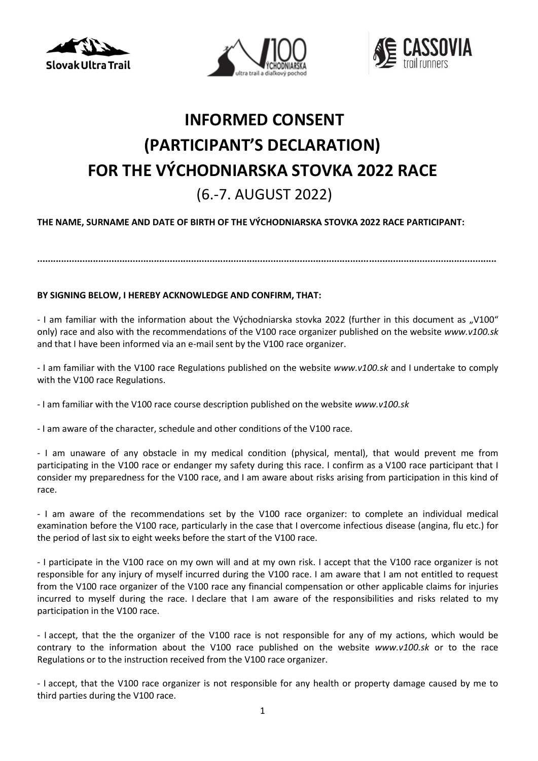





## **INFORMED CONSENT (PARTICIPANT'S DECLARATION) FOR THE VÝCHODNIARSKA STOVKA 2022 RACE** (6.-7. AUGUST 2022)

## **THE NAME, SURNAME AND DATE OF BIRTH OF THE VÝCHODNIARSKA STOVKA 2022 RACE PARTICIPANT:**

**.............................................................................................................................................................................**

## **BY SIGNING BELOW, I HEREBY ACKNOWLEDGE AND CONFIRM, THAT:**

- I am familiar with the information about the Východniarska stovka 2022 (further in this document as "V100" only) race and also with the recommendations of the V100 race organizer published on the website *www.v100.sk*  and that I have been informed via an e-mail sent by the V100 race organizer.

- I am familiar with the V100 race Regulations published on the website *www.v100.sk* and I undertake to comply with the V100 race Regulations.

- I am familiar with the V100 race course description published on the website *www.v100.sk*

- I am aware of the character, schedule and other conditions of the V100 race.

- I am unaware of any obstacle in my medical condition (physical, mental), that would prevent me from participating in the V100 race or endanger my safety during this race. I confirm as a V100 race participant that I consider my preparedness for the V100 race, and I am aware about risks arising from participation in this kind of race.

- I am aware of the recommendations set by the V100 race organizer: to complete an individual medical examination before the V100 race, particularly in the case that I overcome infectious disease (angina, flu etc.) for the period of last six to eight weeks before the start of the V100 race.

- I participate in the V100 race on my own will and at my own risk. I accept that the V100 race organizer is not responsible for any injury of myself incurred during the V100 race. I am aware that I am not entitled to request from the V100 race organizer of the V100 race any financial compensation or other applicable claims for injuries incurred to myself during the race. I declare that I am aware of the responsibilities and risks related to my participation in the V100 race.

- I accept, that the the organizer of the V100 race is not responsible for any of my actions, which would be contrary to the information about the V100 race published on the website *www.v100.sk* or to the race Regulations or to the instruction received from the V100 race organizer.

- I accept, that the V100 race organizer is not responsible for any health or property damage caused by me to third parties during the V100 race.